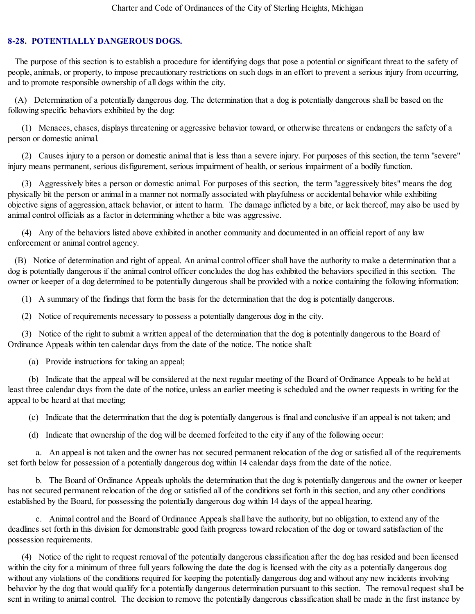## **8-28. POTENTIALLY DANGEROUS DOGS.**

The purpose of this section is to establish a procedure for identifying dogs that pose a potential or significant threat to the safety of people, animals, or property, to impose precautionary restrictions on such dogs in an effort to prevent a serious injury from occurring, and to promote responsible ownership of all dogs within the city.

(A) Determination of a potentially dangerous dog. The determination that a dog is potentially dangerous shall be based on the following specific behaviors exhibited by the dog:

(1) Menaces, chases, displays threatening or aggressive behavior toward, or otherwise threatens or endangers the safety of a person or domestic animal.

(2) Causes injury to a person or domestic animal that is less than a severe injury. For purposes of this section, the term "severe" injury means permanent, serious disfigurement, serious impairment of health, or serious impairment of a bodily function.

(3) Aggressively bites a person or domestic animal. For purposes of this section, the term "aggressively bites" means the dog physically bit the person or animal in a manner not normally associated with playfulness or accidental behavior while exhibiting objective signs of aggression, attack behavior, or intent to harm. The damage inflicted by a bite, or lack thereof, may also be used by animal control officials as a factor in determining whether a bite was aggressive.

(4) Any of the behaviors listed above exhibited in another community and documented in an official report of any law enforcement or animal control agency.

(B) Notice of determination and right of appeal. An animal control officer shall have the authority to make a determination that a dog is potentially dangerous if the animal control officer concludes the dog has exhibited the behaviors specified in this section. The owner or keeper of a dog determined to be potentially dangerous shall be provided with a notice containing the following information:

(1) A summary of the findings that form the basis for the determination that the dog is potentially dangerous.

(2) Notice of requirements necessary to possess a potentially dangerous dog in the city.

(3) Notice of the right to submit a written appeal of the determination that the dog is potentially dangerous to the Board of Ordinance Appeals within ten calendar days from the date of the notice. The notice shall:

(a) Provide instructions for taking an appeal;

(b) Indicate that the appeal will be considered at the next regular meeting of the Board of Ordinance Appeals to be held at least three calendar days from the date of the notice, unless an earlier meeting is scheduled and the owner requests in writing for the appeal to be heard at that meeting;

(c) Indicate that the determination that the dog is potentially dangerous is final and conclusive if an appeal is not taken; and

(d) Indicate that ownership of the dog will be deemed forfeited to the city if any of the following occur:

a. An appeal is not taken and the owner has not secured permanent relocation of the dog or satisfied all of the requirements set forth below for possession of a potentially dangerous dog within 14 calendar days from the date of the notice.

b. The Board of Ordinance Appeals upholds the determination that the dog is potentially dangerous and the owner or keeper has not secured permanent relocation of the dog or satisfied all of the conditions set forth in this section, and any other conditions established by the Board, for possessing the potentially dangerous dog within 14 days of the appeal hearing.

c. Animal control and the Board of Ordinance Appeals shall have the authority, but no obligation, to extend any of the deadlines set forth in this division for demonstrable good faith progress toward relocation of the dog or toward satisfaction of the possession requirements.

(4) Notice of the right to request removal of the potentially dangerous classification after the dog has resided and been licensed within the city for a minimum of three full years following the date the dog is licensed with the city as a potentially dangerous dog without any violations of the conditions required for keeping the potentially dangerous dog and without any new incidents involving behavior by the dog that would qualify for a potentially dangerous determination pursuant to this section. The removal request shall be sent in writing to animal control. The decision to remove the potentially dangerous classification shall be made in the first instance by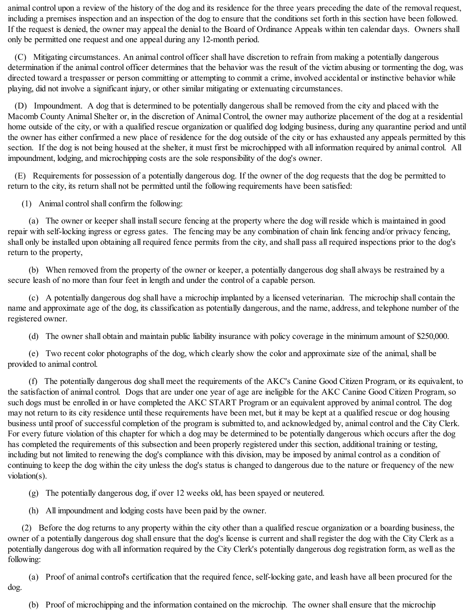animal control upon a review of the history of the dog and its residence for the three years preceding the date of the removal request, including a premises inspection and an inspection of the dog to ensure that the conditions set forth in this section have been followed. If the request is denied, the owner may appeal the denial to the Board of Ordinance Appeals within ten calendar days. Owners shall only be permitted one request and one appeal during any 12-month period.

(C) Mitigating circumstances. An animal control officer shall have discretion to refrain from making a potentially dangerous determination if the animal control officer determines that the behavior was the result of the victim abusing or tormenting the dog, was directed toward a trespasser or person committing or attempting to commit a crime, involved accidental or instinctive behavior while playing, did not involve a significant injury, or other similar mitigating or extenuating circumstances.

(D) Impoundment. A dog that is determined to be potentially dangerous shall be removed from the city and placed with the Macomb County Animal Shelter or, in the discretion of Animal Control, the owner may authorize placement of the dog at a residential home outside of the city, or with a qualified rescue organization or qualified dog lodging business, during any quarantine period and until the owner has either confirmed a new place of residence for the dog outside of the city or has exhausted any appeals permitted by this section. If the dog is not being housed at the shelter, it must first be microchipped with all information required by animal control. All impoundment, lodging, and microchipping costs are the sole responsibility of the dog's owner.

(E) Requirements for possession of a potentially dangerous dog. If the owner of the dog requests that the dog be permitted to return to the city, its return shall not be permitted until the following requirements have been satisfied:

(1) Animal controlshall confirm the following:

(a) The owner or keeper shall install secure fencing at the property where the dog will reside which is maintained in good repair with self-locking ingress or egress gates. The fencing may be any combination of chain link fencing and/or privacy fencing, shall only be installed upon obtaining all required fence permits from the city, and shall pass all required inspections prior to the dog's return to the property,

(b) When removed from the property of the owner or keeper, a potentially dangerous dog shall always be restrained by a secure leash of no more than four feet in length and under the control of a capable person.

(c) A potentially dangerous dog shall have a microchip implanted by a licensed veterinarian. The microchip shall contain the name and approximate age of the dog, its classification as potentially dangerous, and the name, address, and telephone number of the registered owner.

(d) The owner shall obtain and maintain public liability insurance with policy coverage in the minimum amount of \$250,000.

(e) Two recent color photographs of the dog, which clearly show the color and approximate size of the animal, shall be provided to animal control.

(f) The potentially dangerous dog shall meet the requirements of the AKC's Canine Good Citizen Program, or its equivalent, to the satisfaction of animal control. Dogs that are under one year of age are ineligible for the AKC Canine Good Citizen Program, so such dogs must be enrolled in or have completed the AKC START Program or an equivalent approved by animal control. The dog may not return to its city residence until these requirements have been met, but it may be kept at a qualified rescue or dog housing business until proof of successful completion of the program is submitted to, and acknowledged by, animal control and the City Clerk. For every future violation of this chapter for which a dog may be determined to be potentially dangerous which occurs after the dog has completed the requirements of this subsection and been properly registered under this section, additional training or testing, including but not limited to renewing the dog's compliance with this division, may be imposed by animal control as a condition of continuing to keep the dog within the city unless the dog's status is changed to dangerous due to the nature or frequency of the new violation(s).

(g) The potentially dangerous dog, if over 12 weeks old, has been spayed or neutered.

(h) All impoundment and lodging costs have been paid by the owner.

(2) Before the dog returns to any property within the city other than a qualified rescue organization or a boarding business, the owner of a potentially dangerous dog shall ensure that the dog's license is current and shall register the dog with the City Clerk as a potentially dangerous dog with all information required by the City Clerk's potentially dangerous dog registration form, as well as the following:

(a) Proof of animal control's certification that the required fence, self-locking gate, and leash have all been procured for the dog.

(b) Proof of microchipping and the information contained on the microchip. The owner shall ensure that the microchip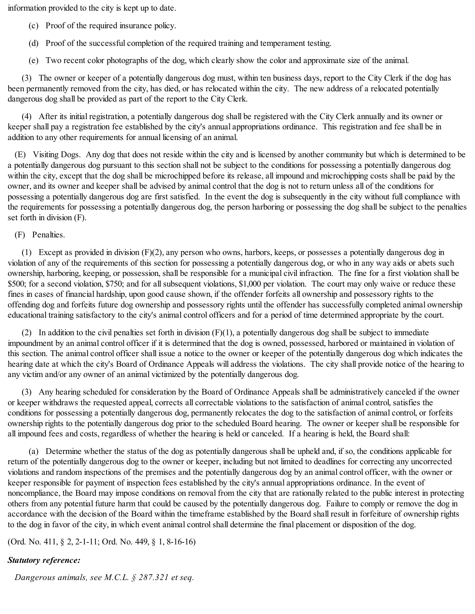information provided to the city is kept up to date.

- (c) Proof of the required insurance policy.
- (d) Proof of the successful completion of the required training and temperament testing.

(e) Two recent color photographs of the dog, which clearly show the color and approximate size of the animal.

(3) The owner or keeper of a potentially dangerous dog must, within ten business days, report to the City Clerk if the dog has been permanently removed from the city, has died, or has relocated within the city. The new address of a relocated potentially dangerous dog shall be provided as part of the report to the City Clerk.

(4) After its initial registration, a potentially dangerous dog shall be registered with the City Clerk annually and its owner or keeper shall pay a registration fee established by the city's annual appropriations ordinance. This registration and fee shall be in addition to any other requirements for annual licensing of an animal.

(E) Visiting Dogs. Any dog that does not reside within the city and is licensed by another community but which is determined to be a potentially dangerous dog pursuant to this section shall not be subject to the conditions for possessing a potentially dangerous dog within the city, except that the dog shall be microchipped before its release, all impound and microchipping costs shall be paid by the owner, and its owner and keeper shall be advised by animal control that the dog is not to return unless all of the conditions for possessing a potentially dangerous dog are first satisfied. In the event the dog is subsequently in the city without full compliance with the requirements for possessing a potentially dangerous dog, the person harboring or possessing the dog shall be subject to the penalties set forth in division (F).

(F) Penalties.

(1) Except as provided in division (F)(2), any person who owns, harbors, keeps, or possesses a potentially dangerous dog in violation of any of the requirements of this section for possessing a potentially dangerous dog, or who in any way aids or abets such ownership, harboring, keeping, or possession, shall be responsible for a municipal civil infraction. The fine for a first violation shall be \$500; for a second violation, \$750; and for all subsequent violations, \$1,000 per violation. The court may only waive or reduce these fines in cases of financial hardship, upon good cause shown, if the offender forfeits all ownership and possessory rights to the offending dog and forfeits future dog ownership and possessory rights until the offender has successfully completed animal ownership educational training satisfactory to the city's animal control officers and for a period of time determined appropriate by the court.

(2) In addition to the civil penalties set forth in division  $(F)(1)$ , a potentially dangerous dog shall be subject to immediate impoundment by an animal control officer if it is determined that the dog is owned, possessed, harbored or maintained in violation of this section. The animal control officer shall issue a notice to the owner or keeper of the potentially dangerous dog which indicates the hearing date at which the city's Board of Ordinance Appeals will address the violations. The city shall provide notice of the hearing to any victim and/or any owner of an animal victimized by the potentially dangerous dog.

(3) Any hearing scheduled for consideration by the Board of Ordinance Appeals shall be administratively canceled if the owner or keeper withdraws the requested appeal, corrects all correctable violations to the satisfaction of animal control, satisfies the conditions for possessing a potentially dangerous dog, permanently relocates the dog to the satisfaction of animal control, or forfeits ownership rights to the potentially dangerous dog prior to the scheduled Board hearing. The owner or keeper shall be responsible for all impound fees and costs, regardless of whether the hearing is held or canceled. If a hearing is held, the Board shall:

(a) Determine whether the status of the dog as potentially dangerous shall be upheld and, if so, the conditions applicable for return of the potentially dangerous dog to the owner or keeper, including but not limited to deadlines for correcting any uncorrected violations and random inspections of the premises and the potentially dangerous dog by an animal control officer, with the owner or keeper responsible for payment of inspection fees established by the city's annual appropriations ordinance. In the event of noncompliance, the Board may impose conditions on removal from the city that are rationally related to the public interest in protecting others from any potential future harm that could be caused by the potentially dangerous dog. Failure to comply or remove the dog in accordance with the decision of the Board within the timeframe established by the Board shall result in forfeiture of ownership rights to the dog in favor of the city, in which event animal control shall determine the final placement or disposition of the dog.

(Ord. No. 411, § 2, 2-1-11; Ord. No. 449, § 1, 8-16-16)

## *Statutory reference:*

*Dangerous animals, see M.C.L. § 287.321 et seq.*